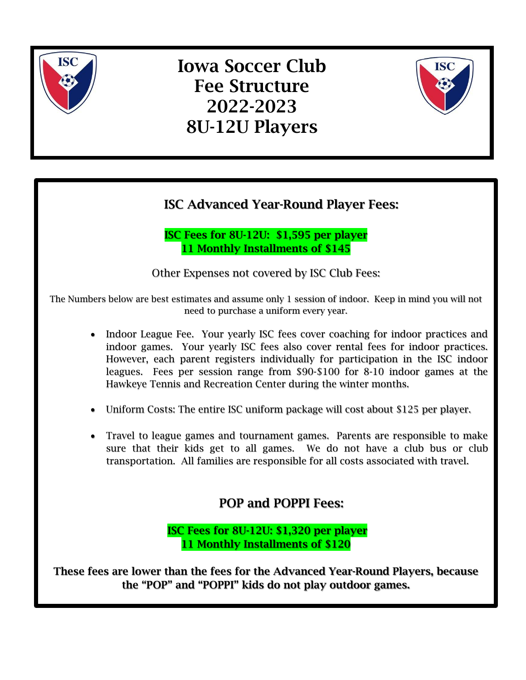

# Iowa Soccer Club Fee Structure 2022-2023 8U-12U Players



## ISC Advanced Year-Round Player Fees:

ISC Fees for 8U-12U: \$1,595 per player 11 Monthly Installments of \$145

Other Expenses not covered by ISC Club Fees:

The Numbers below are best estimates and assume only 1 session of indoor. Keep in mind you will not need to purchase a uniform every year.

- Indoor League Fee. Your yearly ISC fees cover coaching for indoor practices and indoor games. Your yearly ISC fees also cover rental fees for indoor practices. However, each parent registers individually for participation in the ISC indoor leagues. Fees per session range from \$90-\$100 for 8-10 indoor games at the Hawkeye Tennis and Recreation Center during the winter months.
- Uniform Costs: The entire ISC uniform package will cost about \$125 per player.
- Travel to league games and tournament games. Parents are responsible to make sure that their kids get to all games. We do not have a club bus or club transportation. All families are responsible for all costs associated with travel.

### POP and POPPI Fees:

ISC Fees for 8U-12U: \$1,320 per player 11 Monthly Installments of \$120

These fees are lower than the fees for the Advanced Year-Round Players, because the "POP" and "POPPI" kids do not play outdoor games.